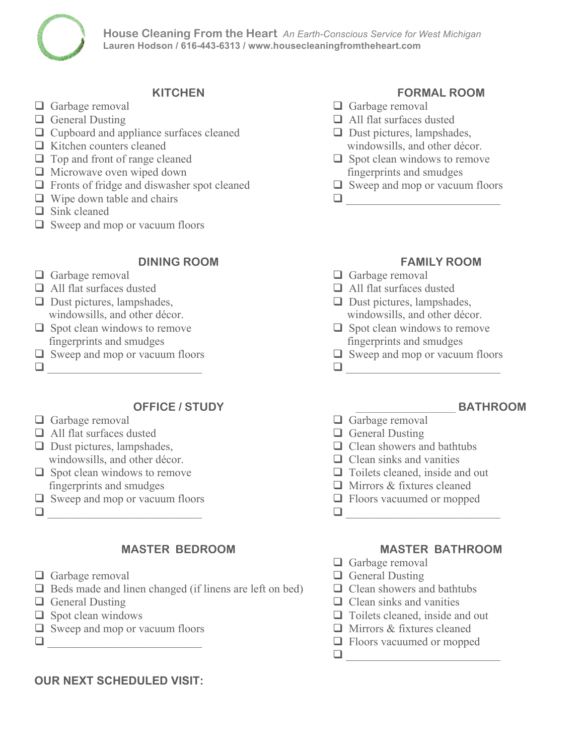# **House Cleaning From the Heart** *An Earth-Conscious Service for West Michigan* **Lauren Hodson / 616-443-6313 / www.housecleaningfromtheheart.com**

## **KITCHEN**

- $\Box$  Garbage removal
- $\Box$  General Dusting
- $\Box$  Cupboard and appliance surfaces cleaned
- $\Box$  Kitchen counters cleaned
- $\Box$  Top and front of range cleaned
- $\Box$  Microwave oven wiped down
- $\Box$  Fronts of fridge and diswasher spot cleaned
- $\Box$  Wipe down table and chairs
- $\Box$  Sink cleaned
- $\Box$  Sweep and mop or vacuum floors

# **DINING ROOM**

- $\Box$  Garbage removal
- $\Box$  All flat surfaces dusted
- $\Box$  Dust pictures, lampshades, windowsills, and other décor.
- $\Box$  Spot clean windows to remove fingerprints and smudges
- $\Box$  Sweep and mop or vacuum floors  $\Box$
- 

# **OFFICE / STUDY**

- $\Box$  Garbage removal
- $\Box$  All flat surfaces dusted
- $\Box$  Dust pictures, lampshades, windowsills, and other décor.
- $\Box$  Spot clean windows to remove fingerprints and smudges
- $\Box$  Sweep and mop or vacuum floors
- q \_\_\_\_\_\_\_\_\_\_\_\_\_\_\_\_\_\_\_\_\_\_\_\_\_\_\_

# **MASTER BEDROOM**

- $\Box$  Garbage removal
- $\Box$  Beds made and linen changed (if linens are left on bed)
- $\Box$  General Dusting
- $\Box$  Spot clean windows
- $\Box$  Sweep and mop or vacuum floors
- q \_\_\_\_\_\_\_\_\_\_\_\_\_\_\_\_\_\_\_\_\_\_\_\_\_\_\_

# **OUR NEXT SCHEDULED VISIT:**

# **FORMAL ROOM**

- $\Box$  Garbage removal
- $\Box$  All flat surfaces dusted
- $\Box$  Dust pictures, lampshades, windowsills, and other décor.
- $\Box$  Spot clean windows to remove fingerprints and smudges
- $\Box$  Sweep and mop or vacuum floors

q \_\_\_\_\_\_\_\_\_\_\_\_\_\_\_\_\_\_\_\_\_\_\_\_\_\_\_

# **FAMILY ROOM**

- $\Box$  Garbage removal
- $\Box$  All flat surfaces dusted
- $\Box$  Dust pictures, lampshades, windowsills, and other décor.
- $\Box$  Spot clean windows to remove fingerprints and smudges
- $\Box$  Sweep and mop or vacuum floors

 $\Box$ 

# \_\_\_\_\_\_\_\_\_\_\_\_\_\_\_\_\_\_\_\_\_ **BATHROOM**

- $\Box$  Garbage removal
- $\Box$  General Dusting
- $\Box$  Clean showers and bathtubs
- $\Box$  Clean sinks and vanities
- $\Box$  Toilets cleaned, inside and out
- $\Box$  Mirrors & fixtures cleaned
- $\Box$  Floors vacuumed or mopped

 $\Box$ 

## **MASTER BATHROOM**

- $\Box$  Garbage removal
- $\Box$  General Dusting

 $\Box$ 

- $\Box$  Clean showers and bathtubs
- $\Box$  Clean sinks and vanities
- $\Box$  Toilets cleaned, inside and out
- $\Box$  Mirrors & fixtures cleaned
- $\Box$  Floors vacuumed or mopped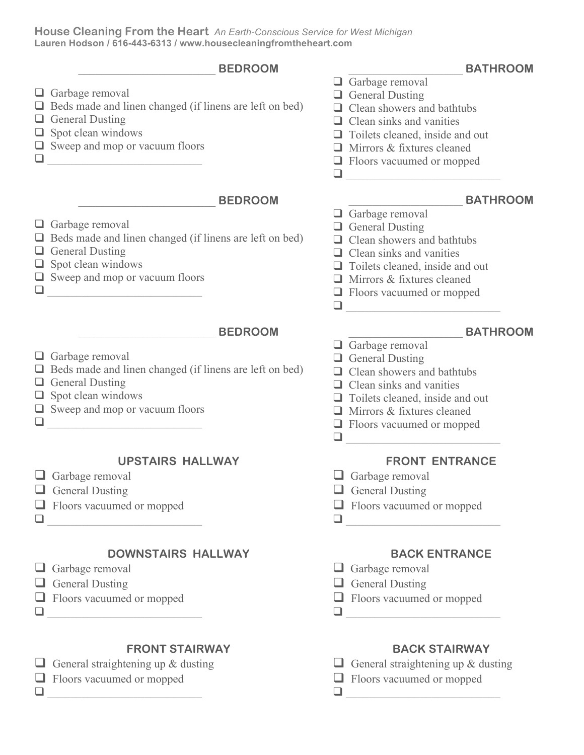## **House Cleaning From the Heart** *An Earth-Conscious Service for West Michigan* **Lauren Hodson / 616-443-6313 / www.housecleaningfromtheheart.com**



## **UPSTAIRS HALLWAY**

- $\Box$  Garbage removal
- $\Box$  General Dusting
- $\Box$  Floors vacuumed or mopped
- q \_\_\_\_\_\_\_\_\_\_\_\_\_\_\_\_\_\_\_\_\_\_\_\_\_\_\_

# **DOWNSTAIRS HALLWAY**

- $\Box$  Garbage removal
- $\Box$  General Dusting
- $\Box$  Floors vacuumed or mopped
- q \_\_\_\_\_\_\_\_\_\_\_\_\_\_\_\_\_\_\_\_\_\_\_\_\_\_\_

# **FRONT STAIRWAY**

General straightening up  $&$  dusting

# $\Box$  Floors vacuumed or mopped q \_\_\_\_\_\_\_\_\_\_\_\_\_\_\_\_\_\_\_\_\_\_\_\_\_\_\_

- $\Box$  Floors vacuumed or mopped q \_\_\_\_\_\_\_\_\_\_\_\_\_\_\_\_\_\_\_\_\_\_\_\_\_\_\_
	- **FRONT ENTRANCE**
- $\Box$  Garbage removal
- $\Box$  General Dusting
- $\Box$  Floors vacuumed or mopped

 $\Box$ 

# **BACK ENTRANCE**

- $\Box$  Garbage removal
- $\Box$  General Dusting
- $\Box$  Floors vacuumed or mopped
- q \_\_\_\_\_\_\_\_\_\_\_\_\_\_\_\_\_\_\_\_\_\_\_\_\_\_\_

# **BACK STAIRWAY**

- $\Box$  General straightening up & dusting
- $\Box$  Floors vacuumed or mopped  $\Box$
-